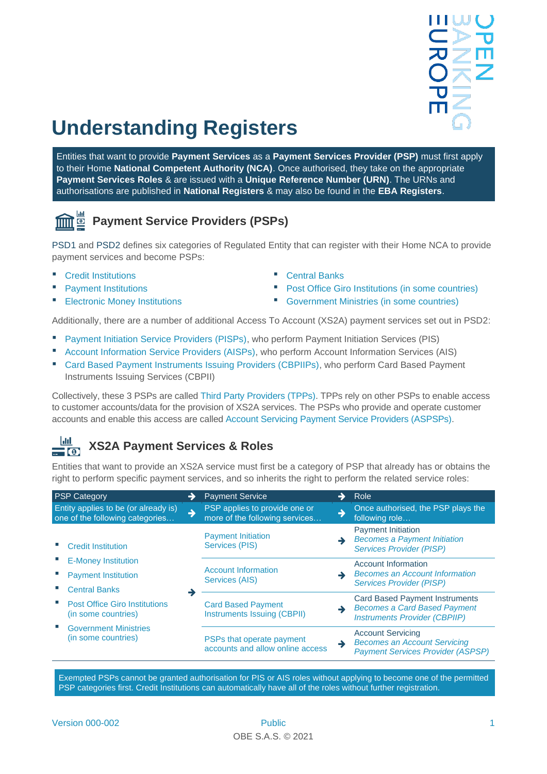# **Understanding Registers**

Entities that want to provide **Payment Services** as a **Payment Services Provider (PSP)** must first apply to their Home **National Competent Authority (NCA)**. Once authorised, they take on the appropriate **Payment Services Roles** & are issued with a **Unique Reference Number (URN)**. The URNs and authorisations are published in **National Registers** & may also be found in the **EBA Registers**.

## **Payment Service Providers (PSPs)**

[PSD1](http://data.europa.eu/eli/dir/2007/64/oj) and [PSD2](http://data.europa.eu/eli/dir/2015/2366/oj) defines six categories of Regulated Entity that can register with their Home NCA to provide payment services and become PSPs:

- Credit Institutions
- Payment Institutions
- Electronic Money Institutions
- Central Banks
- Post Office Giro Institutions (in some countries)
- Government Ministries (in some countries)

Additionally, there are a number of additional Access To Account (XS2A) payment services set out in PSD2:

- Payment Initiation Service Providers (PISPs), who perform Payment Initiation Services (PIS)
- Account Information Service Providers (AISPs), who perform Account Information Services (AIS)
- Card Based Payment Instruments Issuing Providers (CBPIIPs), who perform Card Based Payment Instruments Issuing Services (CBPII)

Collectively, these 3 PSPs are called Third Party Providers (TPPs). TPPs rely on other PSPs to enable access to customer accounts/data for the provision of XS2A services. The PSPs who provide and operate customer accounts and enable this access are called Account Servicing Payment Service Providers (ASPSPs).

#### -latil **XS2A Payment Services & Roles**  $=$  [0]

Entities that want to provide an XS2A service must first be a category of PSP that already has or obtains the right to perform specific payment services, and so inherits the right to perform the related service roles:

| <b>PSP Category</b>                                                              |    | <b>Payment Service</b>                                          | → | Role                                                                                                                 |
|----------------------------------------------------------------------------------|----|-----------------------------------------------------------------|---|----------------------------------------------------------------------------------------------------------------------|
| Entity applies to be (or already is)<br>one of the following categories          | l- | PSP applies to provide one or<br>more of the following services | → | Once authorised, the PSP plays the<br>following role                                                                 |
| <b>Credit Institution</b>                                                        |    | <b>Payment Initiation</b><br>Services (PIS)                     | → | <b>Payment Initiation</b><br><b>Becomes a Payment Initiation</b><br><b>Services Provider (PISP)</b>                  |
| <b>E-Money Institution</b><br><b>Payment Institution</b><br><b>Central Banks</b> |    | <b>Account Information</b><br>Services (AIS)                    |   | Account Information<br><b>Becomes an Account Information</b><br><b>Services Provider (PISP)</b>                      |
| <b>Post Office Giro Institutions</b><br>(in some countries)                      |    | <b>Card Based Payment</b><br>Instruments Issuing (CBPII)        | → | <b>Card Based Payment Instruments</b><br><b>Becomes a Card Based Payment</b><br><b>Instruments Provider (CBPIIP)</b> |
| <b>Government Ministries</b><br>(in some countries)                              |    | PSPs that operate payment<br>accounts and allow online access   | → | <b>Account Servicing</b><br><b>Becomes an Account Servicing</b><br><b>Payment Services Provider (ASPSP)</b>          |

Exempted PSPs cannot be granted authorisation for PIS or AIS roles without applying to become one of the permitted PSP categories first. Credit Institutions can automatically have all of the roles without further registration.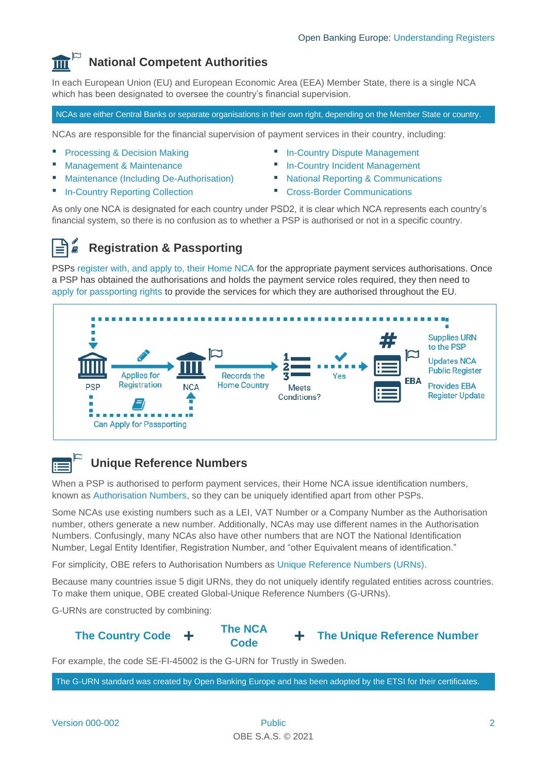#### **National Competent Authorities**  $\overline{\mathbb{H}}$

In each European Union (EU) and European Economic Area (EEA) Member State, there is a single NCA which has been designated to oversee the country's financial supervision.

NCAs are either Central Banks or separate organisations in their own right, depending on the Member State or country.

NCAs are responsible for the financial supervision of payment services in their country, including:

- Processing & Decision Making
- **Management & Maintenance**
- **Maintenance (Including De-Authorisation)**
- **In-Country Reporting Collection**
- **■** In-Country Dispute Management
- **In-Country Incident Management**
- **National Reporting & Communications**
- **Cross-Border Communications**

As only one NCA is designated for each country under PSD2, it is clear which NCA represents each country's financial system, so there is no confusion as to whether a PSP is authorised or not in a specific country.

#### **Registration & Passporting**

PSPs register with, and apply to, their Home NCA for the appropriate payment services authorisations. Once a PSP has obtained the authorisations and holds the payment service roles required, they then need to apply for passporting rights to provide the services for which they are authorised throughout the EU.



### **Unique Reference Numbers**

When a PSP is authorised to perform payment services, their Home NCA issue identification numbers, known as Authorisation Numbers, so they can be uniquely identified apart from other PSPs.

Some NCAs use existing numbers such as a LEI, VAT Number or a Company Number as the Authorisation number, others generate a new number. Additionally, NCAs may use different names in the Authorisation Numbers. Confusingly, many NCAs also have other numbers that are NOT the National Identification Number, Legal Entity Identifier, Registration Number, and "other Equivalent means of identification."

For simplicity, OBE refers to Authorisation Numbers as Unique Reference Numbers (URNs).

Because many countries issue 5 digit URNs, they do not uniquely identify regulated entities across countries. To make them unique, OBE created Global-Unique Reference Numbers (G-URNs).

G-URNs are constructed by combining:



**The NCA** 



For example, the code SE-FI-45002 is the G-URN for Trustly in Sweden.

The G-URN standard was created by Open Banking Europe and has been adopted by the ETSI for their certificates.